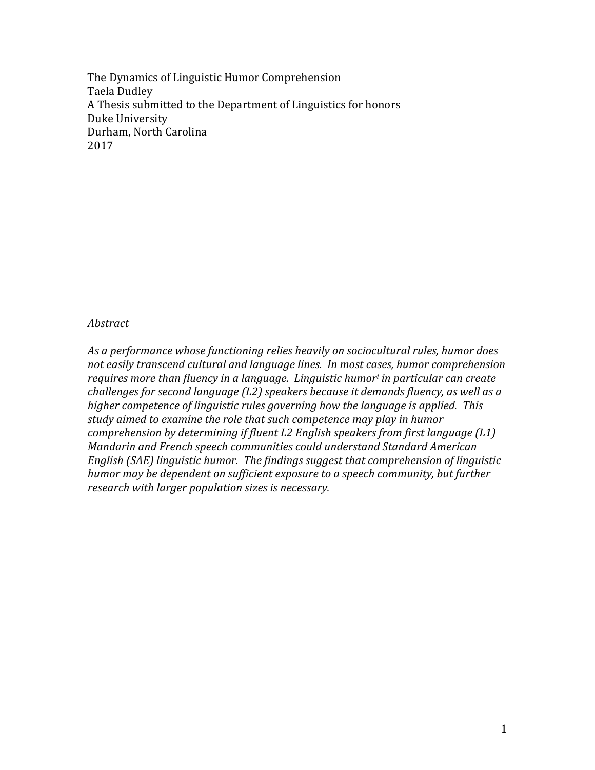The Dynamics of Linguistic Humor Comprehension Taela Dudley A Thesis submitted to the Department of Linguistics for honors Duke University Durham, North Carolina 2017

### *Abstract*

As a performance whose functioning relies heavily on sociocultural rules, humor does not easily transcend cultural and language lines. In most cases, humor comprehension *requires* more than fluency in a language. Linguistic humor<sup>i</sup> in particular can create *challenges for second language (L2) speakers because it demands fluency, as well as a higher competence of linguistic rules governing how the language is applied. This study* aimed to examine the role that such competence may play in humor *comprehension by determining if fluent L2 English speakers from first language (L1) Mandarin and French speech communities could understand Standard American English (SAE) linguistic humor. The findings suggest that comprehension of linguistic humor* may be dependent on sufficient exposure to a speech community, but further *research with larger population sizes is necessary.*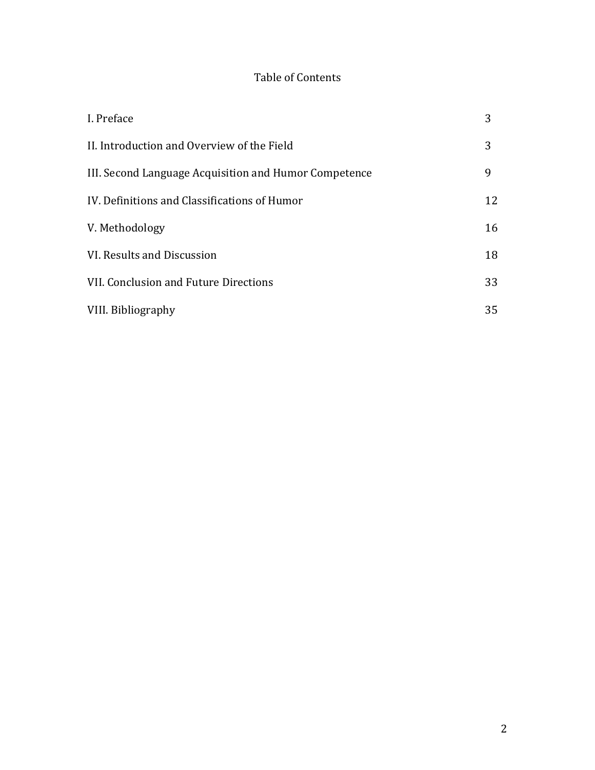# Table of Contents

| I. Preface                                            | 3  |
|-------------------------------------------------------|----|
| II. Introduction and Overview of the Field            | 3  |
| III. Second Language Acquisition and Humor Competence | 9  |
| IV. Definitions and Classifications of Humor          | 12 |
| V. Methodology                                        | 16 |
| VI. Results and Discussion                            | 18 |
| VII. Conclusion and Future Directions                 | 33 |
| VIII. Bibliography                                    | 35 |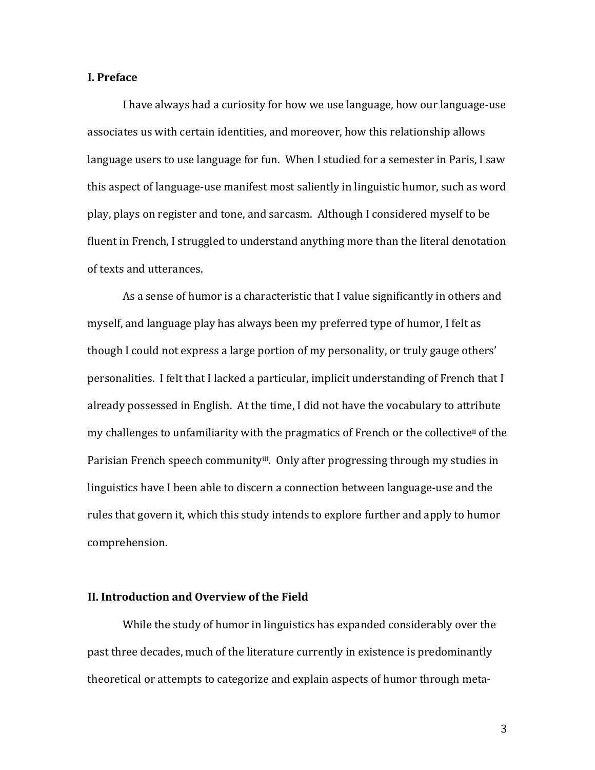### **I. Preface**

I have always had a curiosity for how we use language, how our language-use associates us with certain identities, and moreover, how this relationship allows language users to use language for fun. When I studied for a semester in Paris, I saw this aspect of language-use manifest most saliently in linguistic humor, such as word play, plays on register and tone, and sarcasm. Although I considered myself to be fluent in French, I struggled to understand anything more than the literal denotation of texts and utterances.

As a sense of humor is a characteristic that I value significantly in others and myself, and language play has always been my preferred type of humor, I felt as though I could not express a large portion of my personality, or truly gauge others' personalities. I felt that I lacked a particular, implicit understanding of French that I already possessed in English. At the time, I did not have the vocabulary to attribute my challenges to unfamiliarity with the pragmatics of French or the collective<sup>ii</sup> of the Parisian French speech community<sup>iii</sup>. Only after progressing through my studies in linguistics have I been able to discern a connection between language-use and the rules that govern it, which this study intends to explore further and apply to humor comprehension.

#### **II. Introduction and Overview of the Field**

While the study of humor in linguistics has expanded considerably over the past three decades, much of the literature currently in existence is predominantly theoretical or attempts to categorize and explain aspects of humor through meta-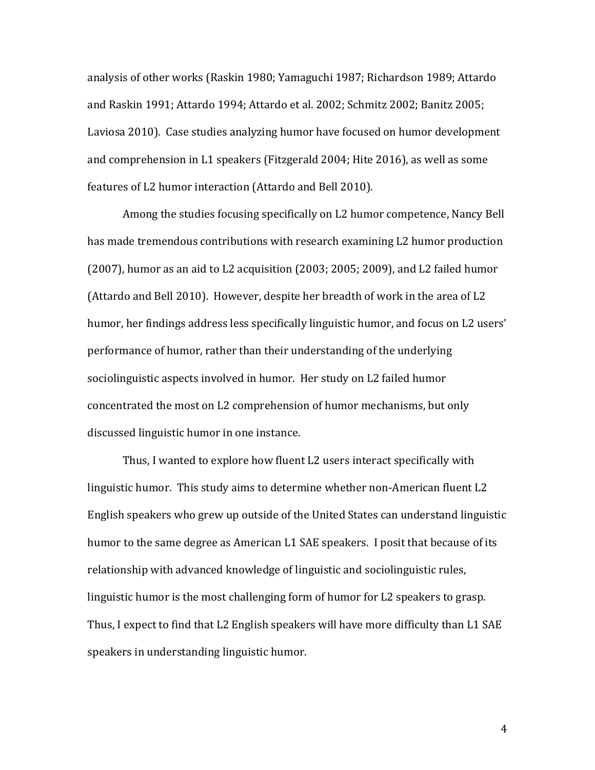analysis of other works (Raskin 1980; Yamaguchi 1987; Richardson 1989; Attardo and Raskin 1991; Attardo 1994; Attardo et al. 2002; Schmitz 2002; Banitz 2005; Laviosa 2010). Case studies analyzing humor have focused on humor development and comprehension in L1 speakers (Fitzgerald 2004; Hite 2016), as well as some features of L2 humor interaction (Attardo and Bell 2010).

Among the studies focusing specifically on L2 humor competence, Nancy Bell has made tremendous contributions with research examining L2 humor production (2007), humor as an aid to L2 acquisition (2003; 2005; 2009), and L2 failed humor (Attardo and Bell 2010). However, despite her breadth of work in the area of L2 humor, her findings address less specifically linguistic humor, and focus on L2 users' performance of humor, rather than their understanding of the underlying sociolinguistic aspects involved in humor. Her study on L2 failed humor concentrated the most on L2 comprehension of humor mechanisms, but only discussed linguistic humor in one instance.

Thus, I wanted to explore how fluent L2 users interact specifically with linguistic humor. This study aims to determine whether non-American fluent L2 English speakers who grew up outside of the United States can understand linguistic humor to the same degree as American L1 SAE speakers. I posit that because of its relationship with advanced knowledge of linguistic and sociolinguistic rules, linguistic humor is the most challenging form of humor for L2 speakers to grasp. Thus, I expect to find that L2 English speakers will have more difficulty than L1 SAE speakers in understanding linguistic humor.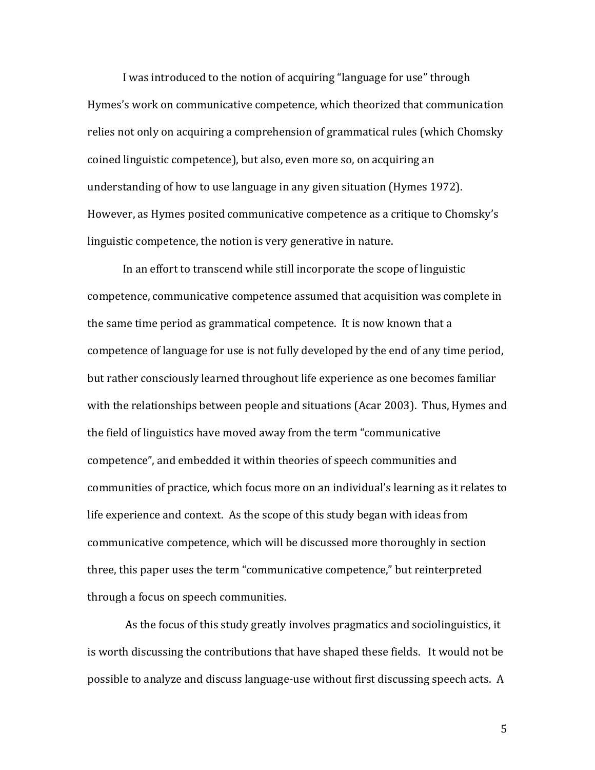I was introduced to the notion of acquiring "language for use" through Hymes's work on communicative competence, which theorized that communication relies not only on acquiring a comprehension of grammatical rules (which Chomsky coined linguistic competence), but also, even more so, on acquiring an understanding of how to use language in any given situation (Hymes 1972). However, as Hymes posited communicative competence as a critique to Chomsky's linguistic competence, the notion is very generative in nature.

In an effort to transcend while still incorporate the scope of linguistic competence, communicative competence assumed that acquisition was complete in the same time period as grammatical competence. It is now known that a competence of language for use is not fully developed by the end of any time period, but rather consciously learned throughout life experience as one becomes familiar with the relationships between people and situations (Acar 2003). Thus, Hymes and the field of linguistics have moved away from the term "communicative competence", and embedded it within theories of speech communities and communities of practice, which focus more on an individual's learning as it relates to life experience and context. As the scope of this study began with ideas from communicative competence, which will be discussed more thoroughly in section three, this paper uses the term "communicative competence," but reinterpreted through a focus on speech communities.

As the focus of this study greatly involves pragmatics and sociolinguistics, it is worth discussing the contributions that have shaped these fields. It would not be possible to analyze and discuss language-use without first discussing speech acts. A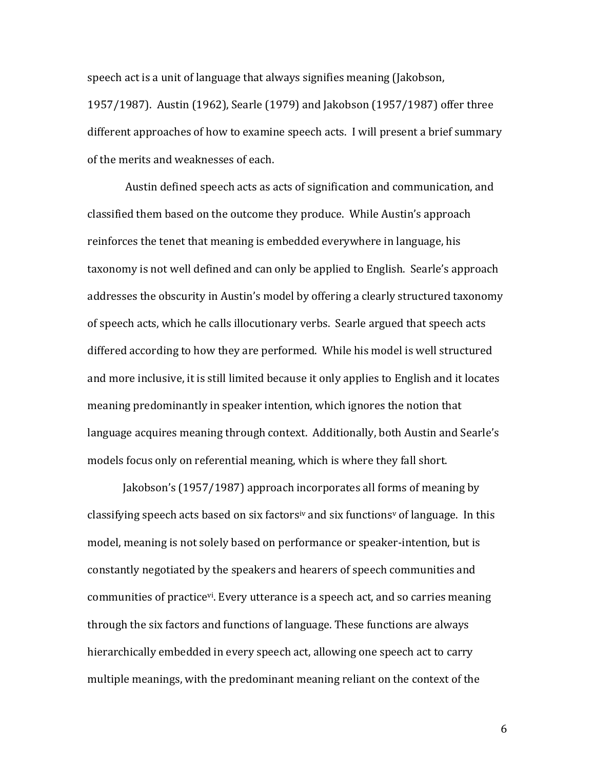speech act is a unit of language that always signifies meaning (Jakobson, 1957/1987). Austin (1962), Searle (1979) and Jakobson (1957/1987) offer three different approaches of how to examine speech acts. I will present a brief summary of the merits and weaknesses of each.

Austin defined speech acts as acts of signification and communication, and classified them based on the outcome they produce. While Austin's approach reinforces the tenet that meaning is embedded everywhere in language, his taxonomy is not well defined and can only be applied to English. Searle's approach addresses the obscurity in Austin's model by offering a clearly structured taxonomy of speech acts, which he calls illocutionary verbs. Searle argued that speech acts differed according to how they are performed. While his model is well structured and more inclusive, it is still limited because it only applies to English and it locates meaning predominantly in speaker intention, which ignores the notion that language acquires meaning through context. Additionally, both Austin and Searle's models focus only on referential meaning, which is where they fall short.

Jakobson's (1957/1987) approach incorporates all forms of meaning by classifying speech acts based on six factors<sup>iv</sup> and six functions<sup> $v$ </sup> of language. In this model, meaning is not solely based on performance or speaker-intention, but is constantly negotiated by the speakers and hearers of speech communities and communities of practice<sup>vi</sup>. Every utterance is a speech act, and so carries meaning through the six factors and functions of language. These functions are always hierarchically embedded in every speech act, allowing one speech act to carry multiple meanings, with the predominant meaning reliant on the context of the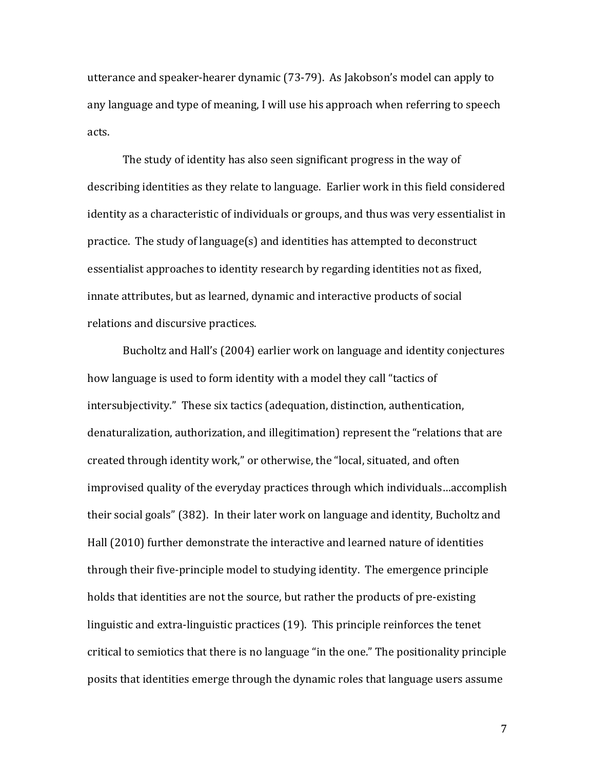utterance and speaker-hearer dynamic (73-79). As Jakobson's model can apply to any language and type of meaning, I will use his approach when referring to speech acts.

The study of identity has also seen significant progress in the way of describing identities as they relate to language. Earlier work in this field considered identity as a characteristic of individuals or groups, and thus was very essentialist in practice. The study of language(s) and identities has attempted to deconstruct essentialist approaches to identity research by regarding identities not as fixed, innate attributes, but as learned, dynamic and interactive products of social relations and discursive practices.

Bucholtz and Hall's (2004) earlier work on language and identity conjectures how language is used to form identity with a model they call "tactics of intersubjectivity." These six tactics (adequation, distinction, authentication, denaturalization, authorization, and illegitimation) represent the "relations that are created through identity work," or otherwise, the "local, situated, and often improvised quality of the everyday practices through which individuals...accomplish their social goals" (382). In their later work on language and identity, Bucholtz and Hall (2010) further demonstrate the interactive and learned nature of identities through their five-principle model to studying identity. The emergence principle holds that identities are not the source, but rather the products of pre-existing linguistic and extra-linguistic practices  $(19)$ . This principle reinforces the tenet critical to semiotics that there is no language "in the one." The positionality principle posits that identities emerge through the dynamic roles that language users assume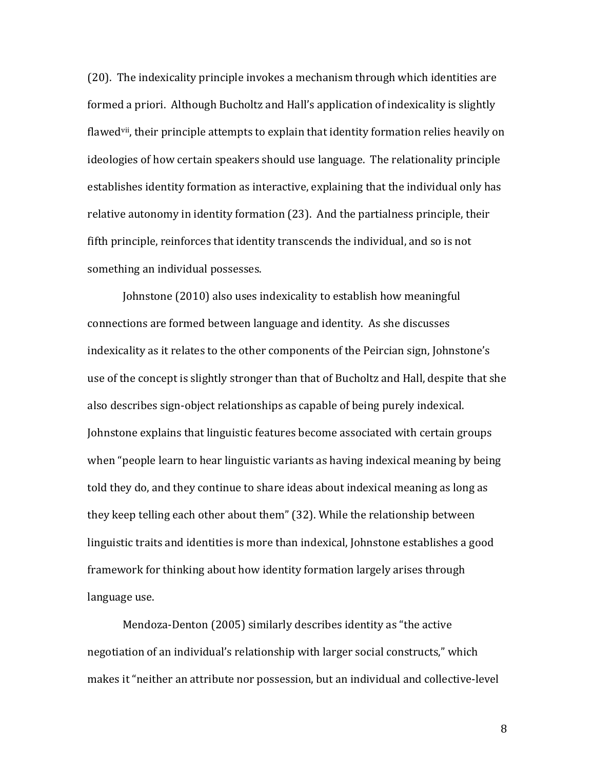$(20)$ . The indexicality principle invokes a mechanism through which identities are formed a priori. Although Bucholtz and Hall's application of indexicality is slightly flawed<sup>vii</sup>, their principle attempts to explain that identity formation relies heavily on ideologies of how certain speakers should use language. The relationality principle establishes identity formation as interactive, explaining that the individual only has relative autonomy in identity formation (23). And the partialness principle, their fifth principle, reinforces that identity transcends the individual, and so is not something an individual possesses.

Johnstone (2010) also uses indexicality to establish how meaningful connections are formed between language and identity. As she discusses indexicality as it relates to the other components of the Peircian sign, Johnstone's use of the concept is slightly stronger than that of Bucholtz and Hall, despite that she also describes sign-object relationships as capable of being purely indexical. Johnstone explains that linguistic features become associated with certain groups when "people learn to hear linguistic variants as having indexical meaning by being told they do, and they continue to share ideas about indexical meaning as long as they keep telling each other about them" (32). While the relationship between linguistic traits and identities is more than indexical, Johnstone establishes a good framework for thinking about how identity formation largely arises through language use.

Mendoza-Denton (2005) similarly describes identity as "the active negotiation of an individual's relationship with larger social constructs," which makes it "neither an attribute nor possession, but an individual and collective-level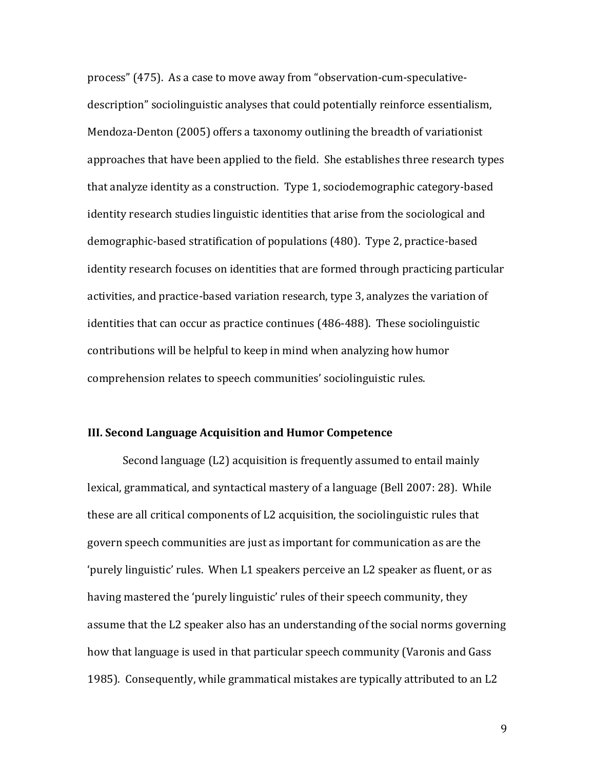process" (475). As a case to move away from "observation-cum-speculativedescription" sociolinguistic analyses that could potentially reinforce essentialism, Mendoza-Denton (2005) offers a taxonomy outlining the breadth of variationist approaches that have been applied to the field. She establishes three research types that analyze identity as a construction. Type 1, sociodemographic category-based identity research studies linguistic identities that arise from the sociological and demographic-based stratification of populations (480). Type 2, practice-based identity research focuses on identities that are formed through practicing particular activities, and practice-based variation research, type 3, analyzes the variation of identities that can occur as practice continues (486-488). These sociolinguistic contributions will be helpful to keep in mind when analyzing how humor comprehension relates to speech communities' sociolinguistic rules.

### **III. Second Language Acquisition and Humor Competence**

Second language  $(L2)$  acquisition is frequently assumed to entail mainly lexical, grammatical, and syntactical mastery of a language (Bell 2007: 28). While these are all critical components of L2 acquisition, the sociolinguistic rules that govern speech communities are just as important for communication as are the 'purely linguistic' rules. When L1 speakers perceive an L2 speaker as fluent, or as having mastered the 'purely linguistic' rules of their speech community, they assume that the L2 speaker also has an understanding of the social norms governing how that language is used in that particular speech community (Varonis and Gass 1985). Consequently, while grammatical mistakes are typically attributed to an L2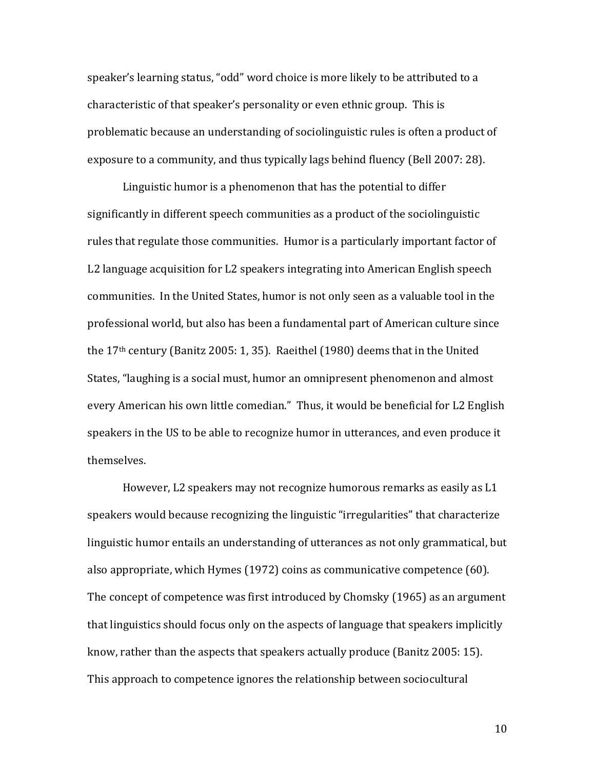speaker's learning status, "odd" word choice is more likely to be attributed to a characteristic of that speaker's personality or even ethnic group. This is problematic because an understanding of sociolinguistic rules is often a product of exposure to a community, and thus typically lags behind fluency (Bell 2007: 28).

Linguistic humor is a phenomenon that has the potential to differ significantly in different speech communities as a product of the sociolinguistic rules that regulate those communities. Humor is a particularly important factor of L2 language acquisition for L2 speakers integrating into American English speech communities. In the United States, humor is not only seen as a valuable tool in the professional world, but also has been a fundamental part of American culture since the  $17<sup>th</sup>$  century (Banitz 2005: 1, 35). Raeithel (1980) deems that in the United States, "laughing is a social must, humor an omnipresent phenomenon and almost every American his own little comedian." Thus, it would be beneficial for L2 English speakers in the US to be able to recognize humor in utterances, and even produce it themselves.

However, L2 speakers may not recognize humorous remarks as easily as L1 speakers would because recognizing the linguistic "irregularities" that characterize linguistic humor entails an understanding of utterances as not only grammatical, but also appropriate, which Hymes  $(1972)$  coins as communicative competence  $(60)$ . The concept of competence was first introduced by Chomsky (1965) as an argument that linguistics should focus only on the aspects of language that speakers implicitly know, rather than the aspects that speakers actually produce (Banitz 2005: 15). This approach to competence ignores the relationship between sociocultural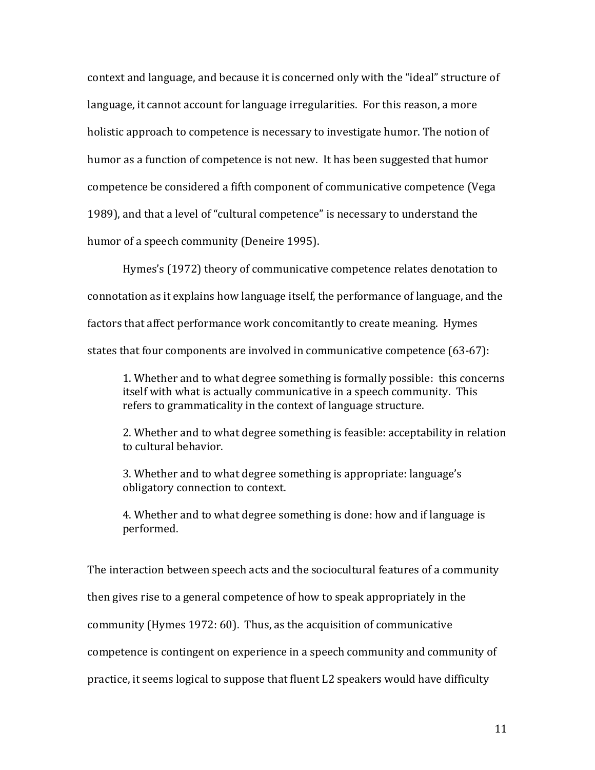context and language, and because it is concerned only with the "ideal" structure of language, it cannot account for language irregularities. For this reason, a more holistic approach to competence is necessary to investigate humor. The notion of humor as a function of competence is not new. It has been suggested that humor competence be considered a fifth component of communicative competence (Vega 1989), and that a level of "cultural competence" is necessary to understand the humor of a speech community (Deneire 1995).

Hymes's (1972) theory of communicative competence relates denotation to connotation as it explains how language itself, the performance of language, and the factors that affect performance work concomitantly to create meaning. Hymes states that four components are involved in communicative competence (63-67):

1. Whether and to what degree something is formally possible: this concerns itself with what is actually communicative in a speech community. This refers to grammaticality in the context of language structure.

2. Whether and to what degree something is feasible: acceptability in relation to cultural behavior.

3. Whether and to what degree something is appropriate: language's obligatory connection to context.

4. Whether and to what degree something is done: how and if language is performed.

The interaction between speech acts and the sociocultural features of a community

then gives rise to a general competence of how to speak appropriately in the

community (Hymes 1972: 60). Thus, as the acquisition of communicative

competence is contingent on experience in a speech community and community of

practice, it seems logical to suppose that fluent L2 speakers would have difficulty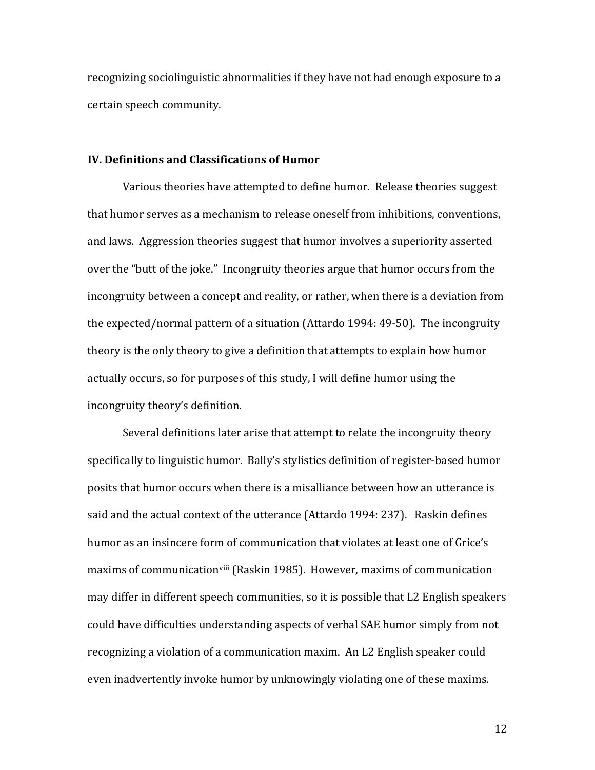recognizing sociolinguistic abnormalities if they have not had enough exposure to a certain speech community.

#### **IV. Definitions and Classifications of Humor**

Various theories have attempted to define humor. Release theories suggest that humor serves as a mechanism to release oneself from inhibitions, conventions, and laws. Aggression theories suggest that humor involves a superiority asserted over the "butt of the joke." Incongruity theories argue that humor occurs from the incongruity between a concept and reality, or rather, when there is a deviation from the expected/normal pattern of a situation (Attardo 1994: 49-50). The incongruity theory is the only theory to give a definition that attempts to explain how humor actually occurs, so for purposes of this study, I will define humor using the incongruity theory's definition.

Several definitions later arise that attempt to relate the incongruity theory specifically to linguistic humor. Bally's stylistics definition of register-based humor posits that humor occurs when there is a misalliance between how an utterance is said and the actual context of the utterance (Attardo 1994: 237). Raskin defines humor as an insincere form of communication that violates at least one of Grice's maxims of communication<sup>viii</sup> (Raskin 1985). However, maxims of communication may differ in different speech communities, so it is possible that L2 English speakers could have difficulties understanding aspects of verbal SAE humor simply from not recognizing a violation of a communication maxim. An L2 English speaker could even inadvertently invoke humor by unknowingly violating one of these maxims.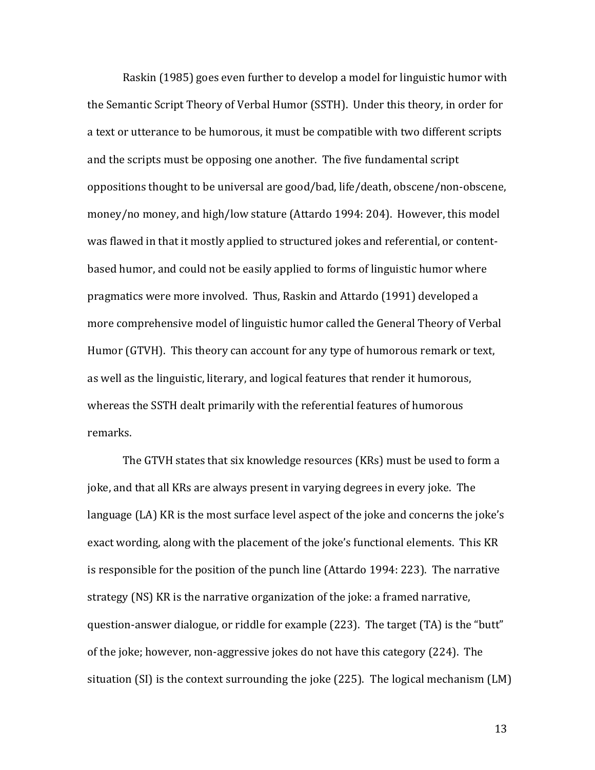Raskin (1985) goes even further to develop a model for linguistic humor with the Semantic Script Theory of Verbal Humor (SSTH). Under this theory, in order for a text or utterance to be humorous, it must be compatible with two different scripts and the scripts must be opposing one another. The five fundamental script oppositions thought to be universal are good/bad, life/death, obscene/non-obscene, money/no money, and high/low stature (Attardo 1994: 204). However, this model was flawed in that it mostly applied to structured jokes and referential, or contentbased humor, and could not be easily applied to forms of linguistic humor where pragmatics were more involved. Thus, Raskin and Attardo (1991) developed a more comprehensive model of linguistic humor called the General Theory of Verbal Humor (GTVH). This theory can account for any type of humorous remark or text, as well as the linguistic, literary, and logical features that render it humorous, whereas the SSTH dealt primarily with the referential features of humorous remarks. 

The GTVH states that six knowledge resources (KRs) must be used to form a joke, and that all KRs are always present in varying degrees in every joke. The language  $(LA)$  KR is the most surface level aspect of the joke and concerns the joke's exact wording, along with the placement of the joke's functional elements. This KR is responsible for the position of the punch line (Attardo 1994: 223). The narrative strategy (NS) KR is the narrative organization of the joke: a framed narrative, question-answer dialogue, or riddle for example  $(223)$ . The target  $(TA)$  is the "butt" of the joke; however, non-aggressive jokes do not have this category (224). The situation  $(SI)$  is the context surrounding the joke  $(225)$ . The logical mechanism  $(LM)$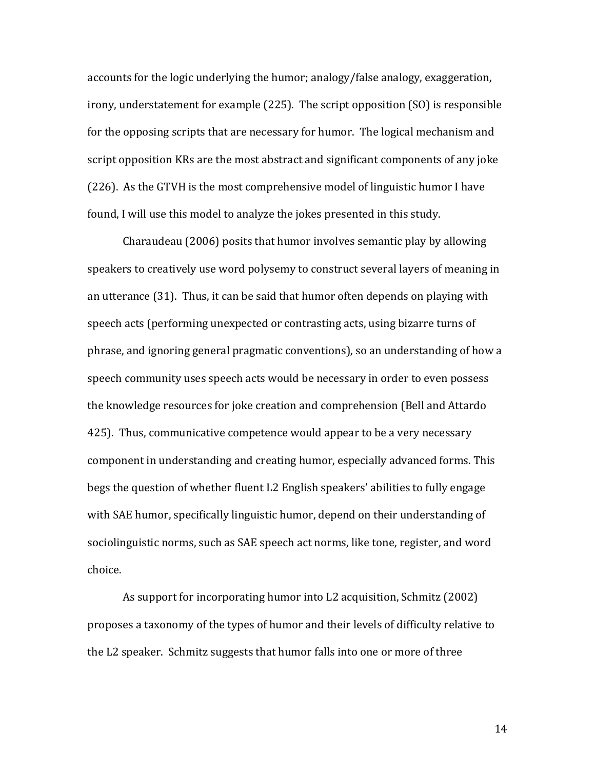accounts for the logic underlying the humor; analogy/false analogy, exaggeration, irony, understatement for example  $(225)$ . The script opposition  $(S<sub>0</sub>)$  is responsible for the opposing scripts that are necessary for humor. The logical mechanism and script opposition KRs are the most abstract and significant components of any joke (226). As the GTVH is the most comprehensive model of linguistic humor I have found, I will use this model to analyze the jokes presented in this study.

Charaudeau (2006) posits that humor involves semantic play by allowing speakers to creatively use word polysemy to construct several layers of meaning in an utterance  $(31)$ . Thus, it can be said that humor often depends on playing with speech acts (performing unexpected or contrasting acts, using bizarre turns of phrase, and ignoring general pragmatic conventions), so an understanding of how a speech community uses speech acts would be necessary in order to even possess the knowledge resources for joke creation and comprehension (Bell and Attardo 425). Thus, communicative competence would appear to be a very necessary component in understanding and creating humor, especially advanced forms. This begs the question of whether fluent L2 English speakers' abilities to fully engage with SAE humor, specifically linguistic humor, depend on their understanding of sociolinguistic norms, such as SAE speech act norms, like tone, register, and word choice.

As support for incorporating humor into L2 acquisition, Schmitz (2002) proposes a taxonomy of the types of humor and their levels of difficulty relative to the L2 speaker. Schmitz suggests that humor falls into one or more of three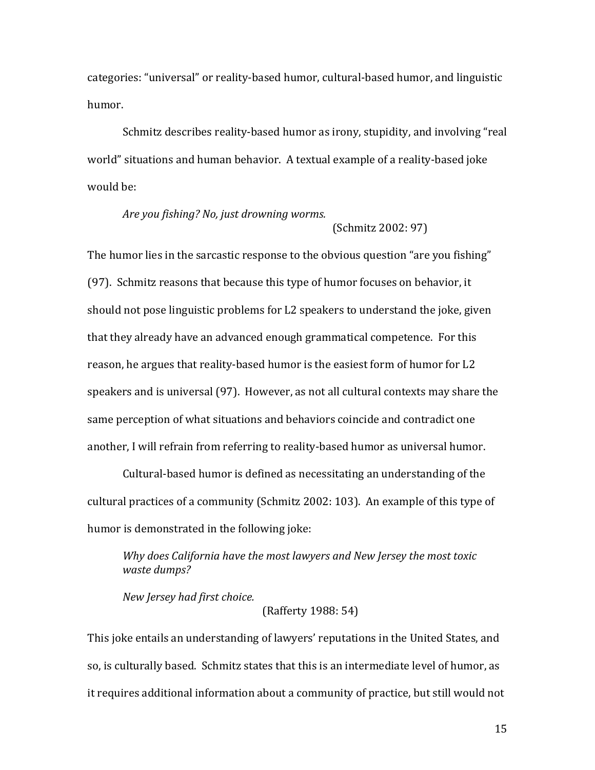categories: "universal" or reality-based humor, cultural-based humor, and linguistic humor. 

Schmitz describes reality-based humor as irony, stupidity, and involving "real world" situations and human behavior. A textual example of a reality-based joke would be:

# *Are you fishing? No, just drowning worms.* (Schmitz 2002: 97)

The humor lies in the sarcastic response to the obvious question "are you fishing" (97). Schmitz reasons that because this type of humor focuses on behavior, it should not pose linguistic problems for L2 speakers to understand the joke, given that they already have an advanced enough grammatical competence. For this reason, he argues that reality-based humor is the easiest form of humor for L2 speakers and is universal (97). However, as not all cultural contexts may share the same perception of what situations and behaviors coincide and contradict one another, I will refrain from referring to reality-based humor as universal humor.

Cultural-based humor is defined as necessitating an understanding of the cultural practices of a community (Schmitz 2002: 103). An example of this type of humor is demonstrated in the following joke:

Why does California have the most lawyers and New Jersey the most toxic *waste dumps?*

*New Jersey had first choice.*

(Rafferty 1988: 54)

This joke entails an understanding of lawyers' reputations in the United States, and so, is culturally based. Schmitz states that this is an intermediate level of humor, as it requires additional information about a community of practice, but still would not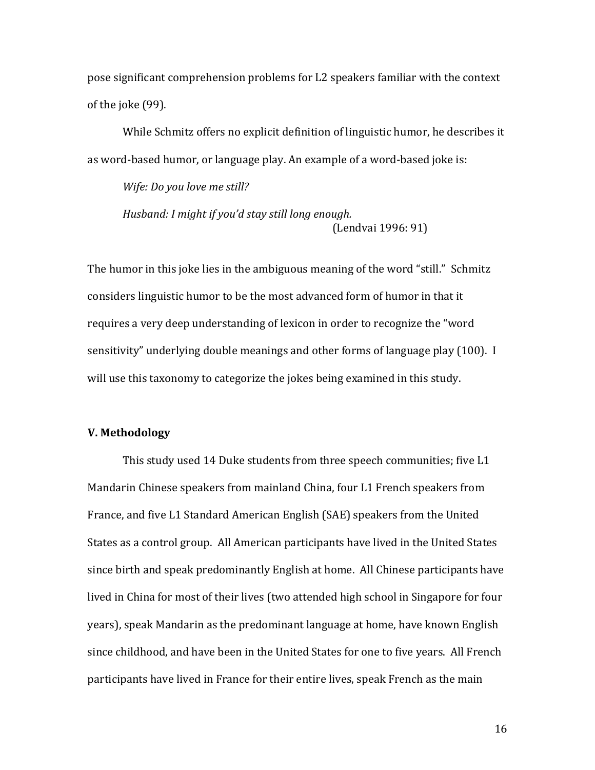pose significant comprehension problems for L2 speakers familiar with the context of the joke (99).

While Schmitz offers no explicit definition of linguistic humor, he describes it as word-based humor, or language play. An example of a word-based joke is:

*Wife: Do you love me still? Husband: I might if you'd stay still long enough.* (Lendvai 1996: 91)

The humor in this joke lies in the ambiguous meaning of the word "still." Schmitz considers linguistic humor to be the most advanced form of humor in that it requires a very deep understanding of lexicon in order to recognize the "word sensitivity" underlying double meanings and other forms of language play (100). I will use this taxonomy to categorize the jokes being examined in this study.

### **V. Methodology**

This study used 14 Duke students from three speech communities; five L1 Mandarin Chinese speakers from mainland China, four L1 French speakers from France, and five L1 Standard American English (SAE) speakers from the United States as a control group. All American participants have lived in the United States since birth and speak predominantly English at home. All Chinese participants have lived in China for most of their lives (two attended high school in Singapore for four years), speak Mandarin as the predominant language at home, have known English since childhood, and have been in the United States for one to five years. All French participants have lived in France for their entire lives, speak French as the main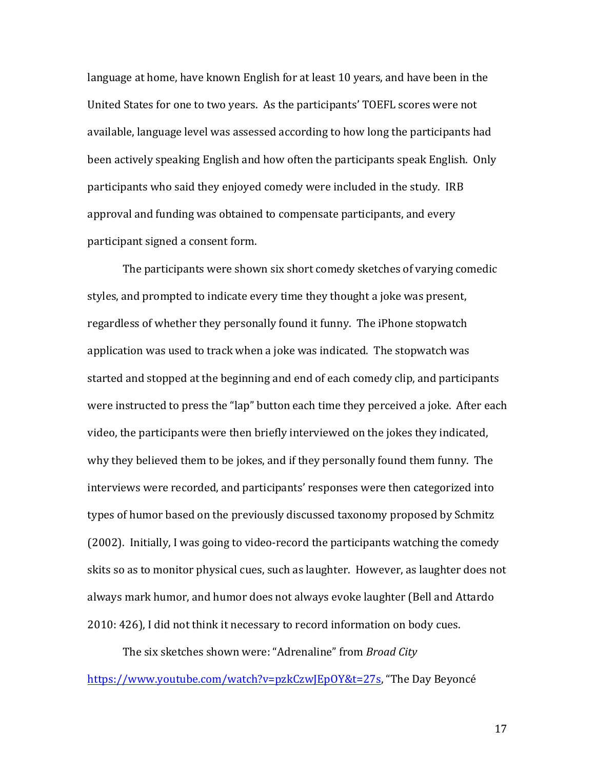language at home, have known English for at least 10 years, and have been in the United States for one to two years. As the participants' TOEFL scores were not available, language level was assessed according to how long the participants had been actively speaking English and how often the participants speak English. Only participants who said they enjoyed comedy were included in the study. IRB approval and funding was obtained to compensate participants, and every participant signed a consent form.

The participants were shown six short comedy sketches of varying comedic styles, and prompted to indicate every time they thought a joke was present, regardless of whether they personally found it funny. The iPhone stopwatch application was used to track when a joke was indicated. The stopwatch was started and stopped at the beginning and end of each comedy clip, and participants were instructed to press the "lap" button each time they perceived a joke. After each video, the participants were then briefly interviewed on the jokes they indicated, why they believed them to be jokes, and if they personally found them funny. The interviews were recorded, and participants' responses were then categorized into types of humor based on the previously discussed taxonomy proposed by Schmitz (2002). Initially, I was going to video-record the participants watching the comedy skits so as to monitor physical cues, such as laughter. However, as laughter does not always mark humor, and humor does not always evoke laughter (Bell and Attardo 2010: 426), I did not think it necessary to record information on body cues.

The six sketches shown were: "Adrenaline" from *Broad City* https://www.youtube.com/watch?v=pzkCzwJEpOY&t=27s, "The Day Beyoncé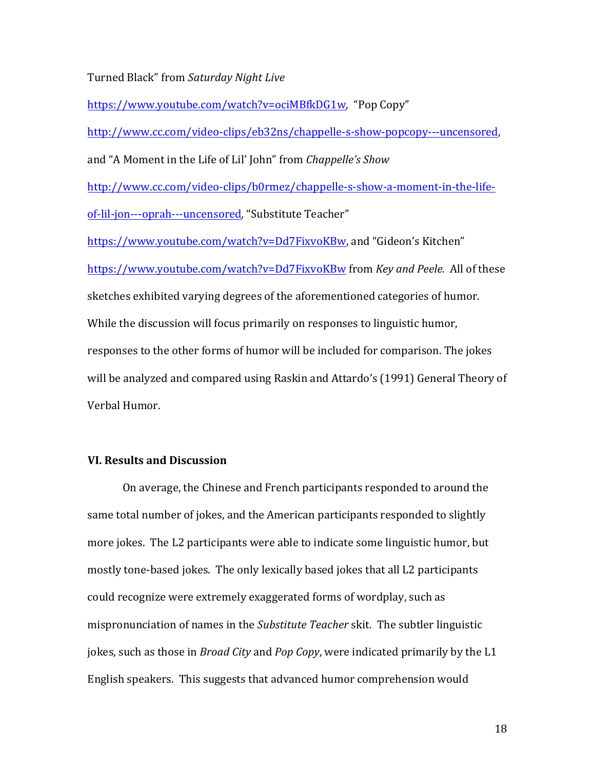Turned Black" from Saturday Night Live

https://www.youtube.com/watch?v=ociMBfkDG1w, "Pop Copy"

http://www.cc.com/video-clips/eb32ns/chappelle-s-show-popcopy---uncensored, 

and "A Moment in the Life of Lil' John" from *Chappelle's Show* 

http://www.cc.com/video-clips/b0rmez/chappelle-s-show-a-moment-in-the-life-

of-lil-jon---oprah---uncensored, "Substitute Teacher"

https://www.youtube.com/watch?v=Dd7FixyoKBw, and "Gideon's Kitchen" https://www.youtube.com/watch?v=Dd7FixvoKBw from *Key and Peele.* All of these sketches exhibited varying degrees of the aforementioned categories of humor. While the discussion will focus primarily on responses to linguistic humor, responses to the other forms of humor will be included for comparison. The jokes will be analyzed and compared using Raskin and Attardo's (1991) General Theory of Verbal Humor.

### **VI. Results and Discussion**

On average, the Chinese and French participants responded to around the same total number of jokes, and the American participants responded to slightly more jokes. The L2 participants were able to indicate some linguistic humor, but mostly tone-based jokes. The only lexically based jokes that all L2 participants could recognize were extremely exaggerated forms of wordplay, such as mispronunciation of names in the *Substitute Teacher* skit. The subtler linguistic jokes, such as those in *Broad City* and *Pop Copy*, were indicated primarily by the L1 English speakers. This suggests that advanced humor comprehension would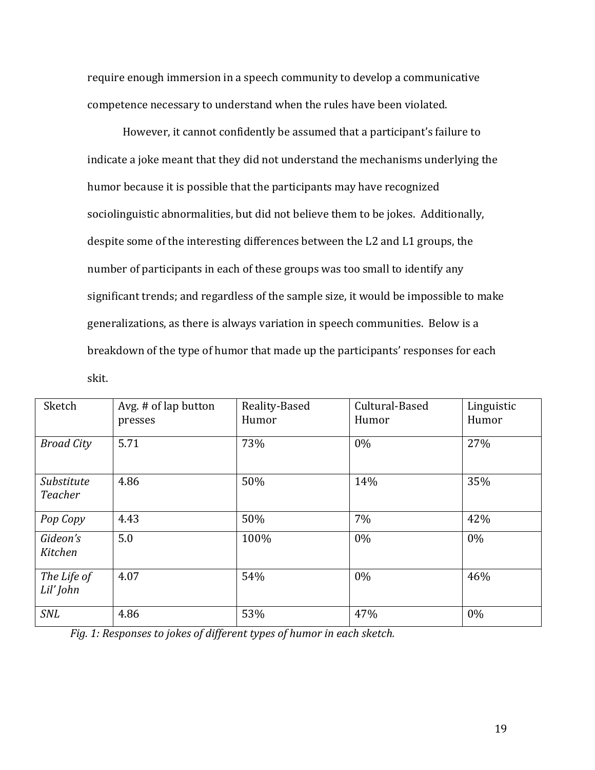require enough immersion in a speech community to develop a communicative competence necessary to understand when the rules have been violated.

However, it cannot confidently be assumed that a participant's failure to indicate a joke meant that they did not understand the mechanisms underlying the humor because it is possible that the participants may have recognized sociolinguistic abnormalities, but did not believe them to be jokes. Additionally, despite some of the interesting differences between the L2 and L1 groups, the number of participants in each of these groups was too small to identify any significant trends; and regardless of the sample size, it would be impossible to make generalizations, as there is always variation in speech communities. Below is a breakdown of the type of humor that made up the participants' responses for each skit.

| Sketch                   | Avg. # of lap button<br>presses | Reality-Based<br>Humor | Cultural-Based<br>Humor | Linguistic<br>Humor |
|--------------------------|---------------------------------|------------------------|-------------------------|---------------------|
| <b>Broad City</b>        | 5.71                            | 73%                    | 0%                      | 27%                 |
| Substitute<br>Teacher    | 4.86                            | 50%                    | 14%                     | 35%                 |
| Pop Copy                 | 4.43                            | 50%                    | 7%                      | 42%                 |
| Gideon's<br>Kitchen      | 5.0                             | 100%                   | $0\%$                   | $0\%$               |
| The Life of<br>Lil' John | 4.07                            | 54%                    | $0\%$                   | 46%                 |
| <b>SNL</b>               | 4.86                            | 53%                    | 47%                     | $0\%$               |

*Fig.* 1: Responses to jokes of different types of humor in each sketch.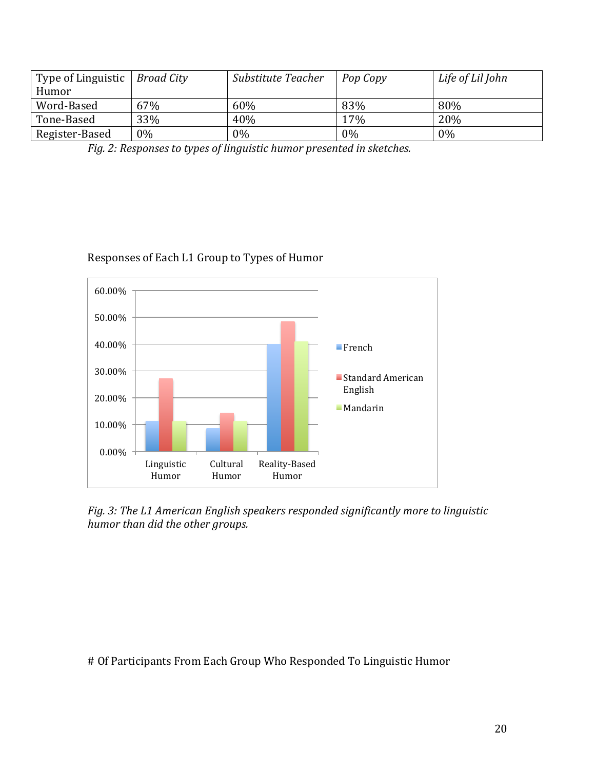| Type of Linguistic | Broad City | Substitute Teacher | Pop Copy | Life of Lil John |
|--------------------|------------|--------------------|----------|------------------|
| Humor              |            |                    |          |                  |
| Word-Based         | 67%        | 60%                | 83%      | 80%              |
| Tone-Based         | 33%        | 40%                | 17%      | 20%              |
| Register-Based     | $0\%$      | $0\%$              | 0%       | 0%               |

Fig. 2: Responses to types of linguistic humor presented in sketches.

# Responses of Each L1 Group to Types of Humor



Fig. 3: The L1 American English speakers responded significantly more to linguistic *humor* than did the other groups.

# Of Participants From Each Group Who Responded To Linguistic Humor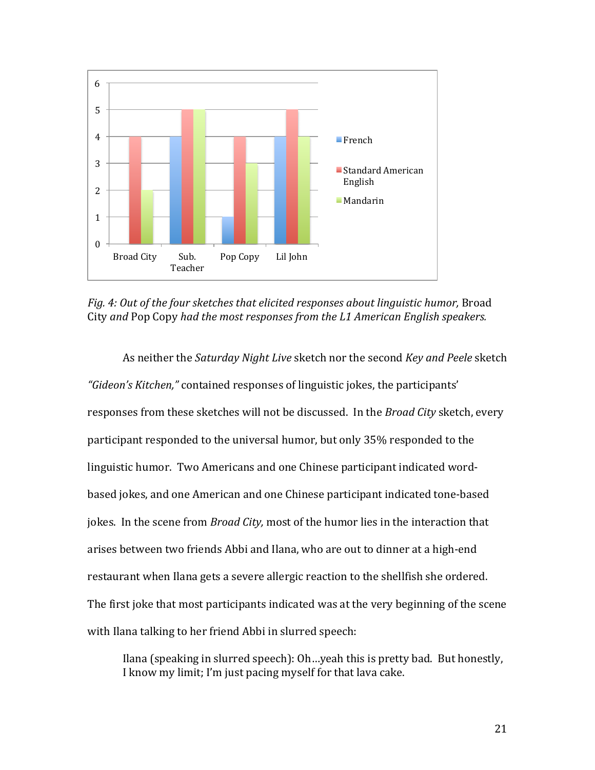

*Fig.* 4: Out of the four sketches that elicited responses about linguistic humor, Broad City and Pop Copy had the most responses from the L1 American English speakers.

As neither the *Saturday Night Live* sketch nor the second *Key and Peele* sketch "*Gideon's Kitchen,*" contained responses of linguistic jokes, the participants' responses from these sketches will not be discussed. In the *Broad City* sketch, every participant responded to the universal humor, but only 35% responded to the linguistic humor. Two Americans and one Chinese participant indicated wordbased jokes, and one American and one Chinese participant indicated tone-based jokes. In the scene from *Broad City*, most of the humor lies in the interaction that arises between two friends Abbi and Ilana, who are out to dinner at a high-end restaurant when Ilana gets a severe allergic reaction to the shellfish she ordered. The first joke that most participants indicated was at the very beginning of the scene with Ilana talking to her friend Abbi in slurred speech:

Ilana (speaking in slurred speech):  $Oh...$ yeah this is pretty bad. But honestly, I know my limit; I'm just pacing myself for that lava cake.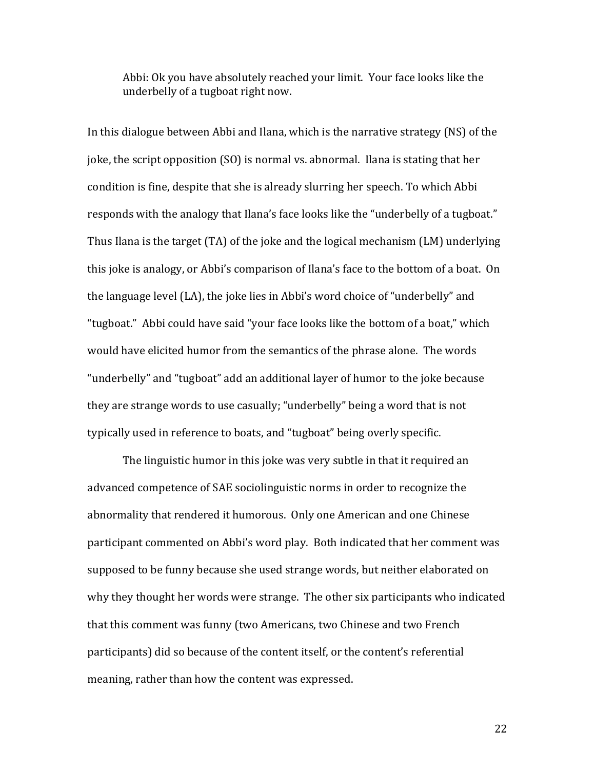Abbi: Ok you have absolutely reached your limit. Your face looks like the underbelly of a tugboat right now.

In this dialogue between Abbi and Ilana, which is the narrative strategy  $(NS)$  of the joke, the script opposition  $(SO)$  is normal vs. abnormal. Ilana is stating that her condition is fine, despite that she is already slurring her speech. To which Abbi responds with the analogy that Ilana's face looks like the "underbelly of a tugboat." Thus Ilana is the target  $(TA)$  of the joke and the logical mechanism  $(LM)$  underlying this joke is analogy, or Abbi's comparison of Ilana's face to the bottom of a boat. On the language level (LA), the joke lies in Abbi's word choice of "underbelly" and "tugboat." Abbi could have said "your face looks like the bottom of a boat," which would have elicited humor from the semantics of the phrase alone. The words "underbelly" and "tugboat" add an additional layer of humor to the joke because they are strange words to use casually; "underbelly" being a word that is not typically used in reference to boats, and "tugboat" being overly specific.

The linguistic humor in this joke was very subtle in that it required an advanced competence of SAE sociolinguistic norms in order to recognize the abnormality that rendered it humorous. Only one American and one Chinese participant commented on Abbi's word play. Both indicated that her comment was supposed to be funny because she used strange words, but neither elaborated on why they thought her words were strange. The other six participants who indicated that this comment was funny (two Americans, two Chinese and two French participants) did so because of the content itself, or the content's referential meaning, rather than how the content was expressed.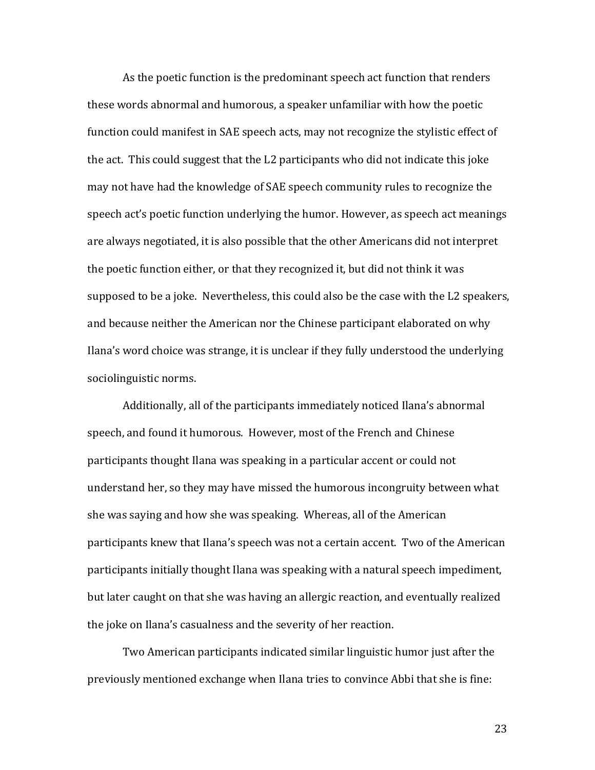As the poetic function is the predominant speech act function that renders these words abnormal and humorous, a speaker unfamiliar with how the poetic function could manifest in SAE speech acts, may not recognize the stylistic effect of the act. This could suggest that the L2 participants who did not indicate this joke may not have had the knowledge of SAE speech community rules to recognize the speech act's poetic function underlying the humor. However, as speech act meanings are always negotiated, it is also possible that the other Americans did not interpret the poetic function either, or that they recognized it, but did not think it was supposed to be a joke. Nevertheless, this could also be the case with the L2 speakers, and because neither the American nor the Chinese participant elaborated on why Ilana's word choice was strange, it is unclear if they fully understood the underlying sociolinguistic norms.

Additionally, all of the participants immediately noticed Ilana's abnormal speech, and found it humorous. However, most of the French and Chinese participants thought Ilana was speaking in a particular accent or could not understand her, so they may have missed the humorous incongruity between what she was saying and how she was speaking. Whereas, all of the American participants knew that Ilana's speech was not a certain accent. Two of the American participants initially thought Ilana was speaking with a natural speech impediment, but later caught on that she was having an allergic reaction, and eventually realized the joke on Ilana's casualness and the severity of her reaction.

Two American participants indicated similar linguistic humor just after the previously mentioned exchange when Ilana tries to convince Abbi that she is fine: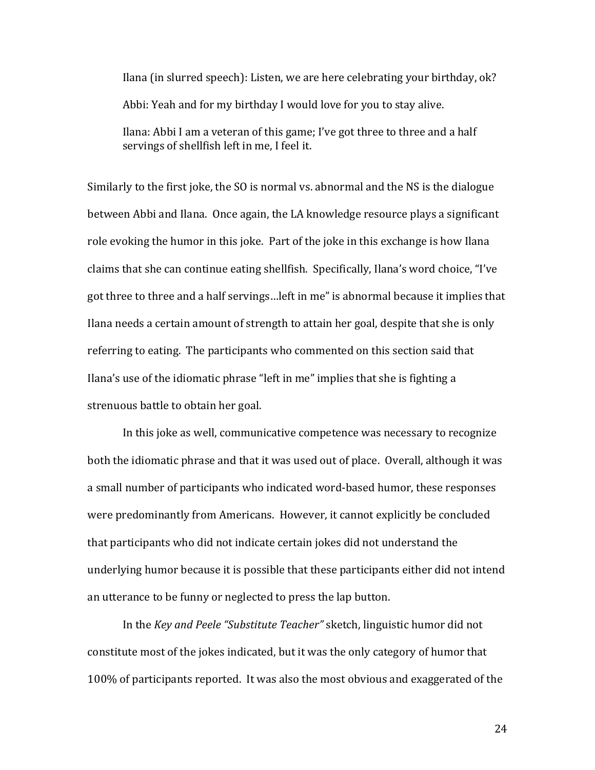Ilana (in slurred speech): Listen, we are here celebrating your birthday, ok? Abbi: Yeah and for my birthday I would love for you to stay alive. Ilana: Abbi I am a veteran of this game; I've got three to three and a half servings of shellfish left in me. I feel it.

Similarly to the first joke, the SO is normal vs. abnormal and the NS is the dialogue between Abbi and Ilana. Once again, the LA knowledge resource plays a significant role evoking the humor in this joke. Part of the joke in this exchange is how Ilana claims that she can continue eating shellfish. Specifically, Ilana's word choice, "I've got three to three and a half servings... left in me" is abnormal because it implies that Ilana needs a certain amount of strength to attain her goal, despite that she is only referring to eating. The participants who commented on this section said that Ilana's use of the idiomatic phrase "left in me" implies that she is fighting a strenuous battle to obtain her goal.

In this joke as well, communicative competence was necessary to recognize both the idiomatic phrase and that it was used out of place. Overall, although it was a small number of participants who indicated word-based humor, these responses were predominantly from Americans. However, it cannot explicitly be concluded that participants who did not indicate certain jokes did not understand the underlying humor because it is possible that these participants either did not intend an utterance to be funny or neglected to press the lap button.

In the *Key and Peele "Substitute Teacher"* sketch, linguistic humor did not constitute most of the jokes indicated, but it was the only category of humor that 100% of participants reported. It was also the most obvious and exaggerated of the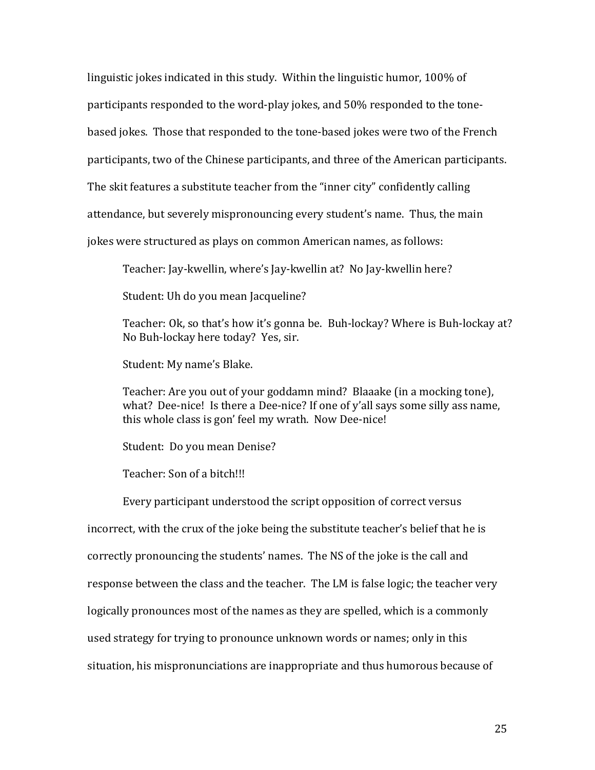linguistic jokes indicated in this study. Within the linguistic humor, 100% of participants responded to the word-play jokes, and 50% responded to the tonebased jokes. Those that responded to the tone-based jokes were two of the French participants, two of the Chinese participants, and three of the American participants. The skit features a substitute teacher from the "inner city" confidently calling attendance, but severely mispronouncing every student's name. Thus, the main jokes were structured as plays on common American names, as follows:

Teacher: Jay-kwellin, where's Jay-kwellin at? No Jay-kwellin here?

Student: Uh do you mean Jacqueline?

Teacher: Ok, so that's how it's gonna be. Buh-lockay? Where is Buh-lockay at? No Buh-lockay here today? Yes, sir.

Student: My name's Blake.

Teacher: Are you out of your goddamn mind? Blaaake (in a mocking tone), what? Dee-nice! Is there a Dee-nice? If one of y'all says some silly ass name, this whole class is gon' feel my wrath. Now Dee-nice!

Student: Do you mean Denise?

Teacher: Son of a bitch!!!

Every participant understood the script opposition of correct versus incorrect, with the crux of the joke being the substitute teacher's belief that he is correctly pronouncing the students' names. The NS of the joke is the call and response between the class and the teacher. The LM is false logic; the teacher very logically pronounces most of the names as they are spelled, which is a commonly used strategy for trying to pronounce unknown words or names; only in this situation, his mispronunciations are inappropriate and thus humorous because of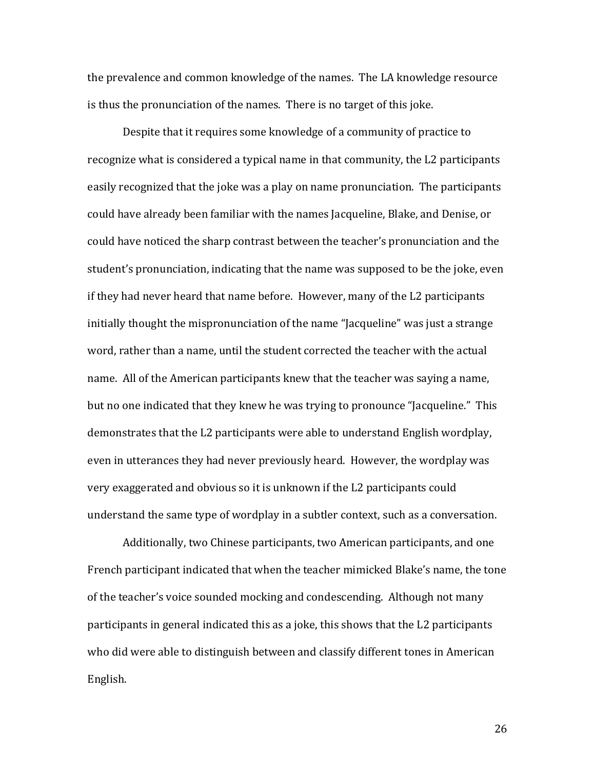the prevalence and common knowledge of the names. The LA knowledge resource is thus the pronunciation of the names. There is no target of this joke.

Despite that it requires some knowledge of a community of practice to recognize what is considered a typical name in that community, the L2 participants easily recognized that the joke was a play on name pronunciation. The participants could have already been familiar with the names Jacqueline, Blake, and Denise, or could have noticed the sharp contrast between the teacher's pronunciation and the student's pronunciation, indicating that the name was supposed to be the joke, even if they had never heard that name before. However, many of the L2 participants initially thought the mispronunciation of the name "Jacqueline" was just a strange word, rather than a name, until the student corrected the teacher with the actual name. All of the American participants knew that the teacher was saying a name, but no one indicated that they knew he was trying to pronounce "Jacqueline." This demonstrates that the L2 participants were able to understand English wordplay, even in utterances they had never previously heard. However, the wordplay was very exaggerated and obvious so it is unknown if the L2 participants could understand the same type of wordplay in a subtler context, such as a conversation.

Additionally, two Chinese participants, two American participants, and one French participant indicated that when the teacher mimicked Blake's name, the tone of the teacher's voice sounded mocking and condescending. Although not many participants in general indicated this as a joke, this shows that the L2 participants who did were able to distinguish between and classify different tones in American English.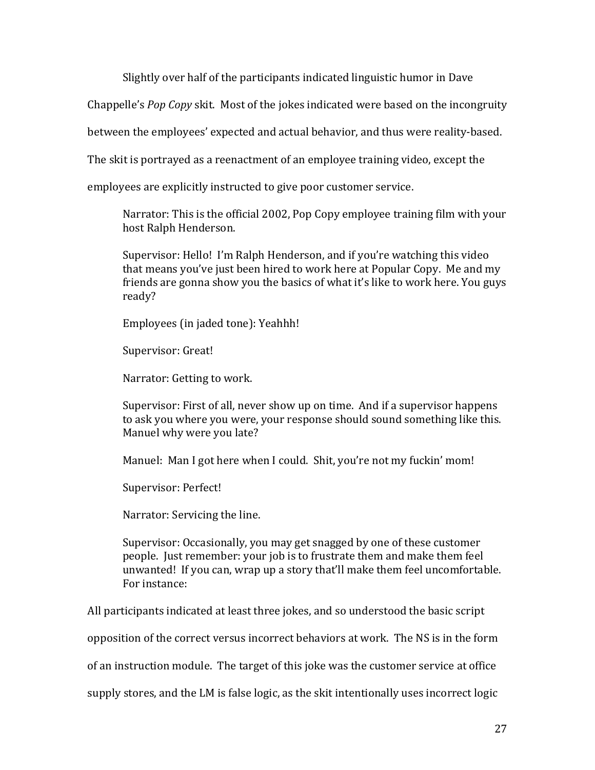Slightly over half of the participants indicated linguistic humor in Dave

Chappelle's *Pop Copy* skit. Most of the jokes indicated were based on the incongruity

between the employees' expected and actual behavior, and thus were reality-based.

The skit is portrayed as a reenactment of an employee training video, except the

employees are explicitly instructed to give poor customer service.

Narrator: This is the official 2002, Pop Copy employee training film with your host Ralph Henderson.

Supervisor: Hello! I'm Ralph Henderson, and if you're watching this video that means you've just been hired to work here at Popular Copy. Me and my friends are gonna show you the basics of what it's like to work here. You guys ready?

Employees (in jaded tone): Yeahhh!

Supervisor: Great!

Narrator: Getting to work.

Supervisor: First of all, never show up on time. And if a supervisor happens to ask you where you were, your response should sound something like this. Manuel why were you late?

Manuel: Man I got here when I could. Shit, you're not my fuckin' mom!

Supervisor: Perfect!

Narrator: Servicing the line.

Supervisor: Occasionally, you may get snagged by one of these customer people. Just remember: your job is to frustrate them and make them feel unwanted! If you can, wrap up a story that'll make them feel uncomfortable. For instance:

All participants indicated at least three jokes, and so understood the basic script

opposition of the correct versus incorrect behaviors at work. The NS is in the form

of an instruction module. The target of this joke was the customer service at office

supply stores, and the LM is false logic, as the skit intentionally uses incorrect logic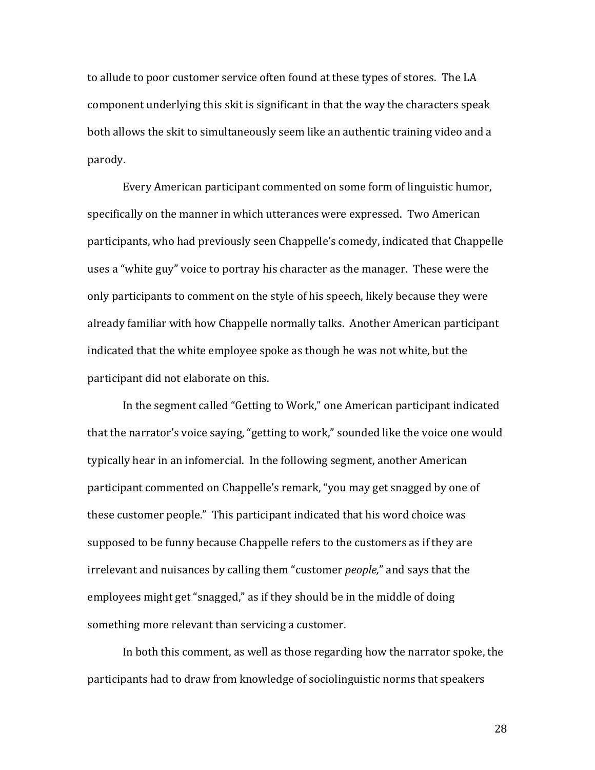to allude to poor customer service often found at these types of stores. The LA component underlying this skit is significant in that the way the characters speak both allows the skit to simultaneously seem like an authentic training video and a parody. 

Every American participant commented on some form of linguistic humor, specifically on the manner in which utterances were expressed. Two American participants, who had previously seen Chappelle's comedy, indicated that Chappelle uses a "white guy" voice to portray his character as the manager. These were the only participants to comment on the style of his speech, likely because they were already familiar with how Chappelle normally talks. Another American participant indicated that the white employee spoke as though he was not white, but the participant did not elaborate on this.

In the segment called "Getting to Work," one American participant indicated that the narrator's voice saying, "getting to work," sounded like the voice one would typically hear in an infomercial. In the following segment, another American participant commented on Chappelle's remark, "you may get snagged by one of these customer people." This participant indicated that his word choice was supposed to be funny because Chappelle refers to the customers as if they are irrelevant and nuisances by calling them "customer *people*," and says that the employees might get "snagged," as if they should be in the middle of doing something more relevant than servicing a customer.

In both this comment, as well as those regarding how the narrator spoke, the participants had to draw from knowledge of sociolinguistic norms that speakers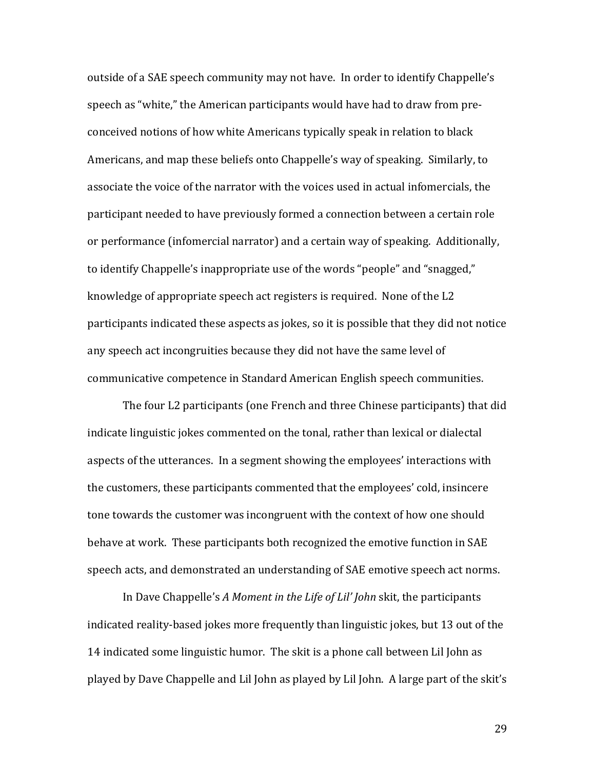outside of a SAE speech community may not have. In order to identify Chappelle's speech as "white," the American participants would have had to draw from preconceived notions of how white Americans typically speak in relation to black Americans, and map these beliefs onto Chappelle's way of speaking. Similarly, to associate the voice of the narrator with the voices used in actual infomercials, the participant needed to have previously formed a connection between a certain role or performance (infomercial narrator) and a certain way of speaking. Additionally, to identify Chappelle's inappropriate use of the words "people" and "snagged," knowledge of appropriate speech act registers is required. None of the L2 participants indicated these aspects as jokes, so it is possible that they did not notice any speech act incongruities because they did not have the same level of communicative competence in Standard American English speech communities.

The four L2 participants (one French and three Chinese participants) that did indicate linguistic jokes commented on the tonal, rather than lexical or dialectal aspects of the utterances. In a segment showing the employees' interactions with the customers, these participants commented that the employees' cold, insincere tone towards the customer was incongruent with the context of how one should behave at work. These participants both recognized the emotive function in SAE speech acts, and demonstrated an understanding of SAE emotive speech act norms.

In Dave Chappelle's *A Moment in the Life of Lil' John* skit, the participants indicated reality-based jokes more frequently than linguistic jokes, but 13 out of the 14 indicated some linguistic humor. The skit is a phone call between Lil John as played by Dave Chappelle and Lil John as played by Lil John. A large part of the skit's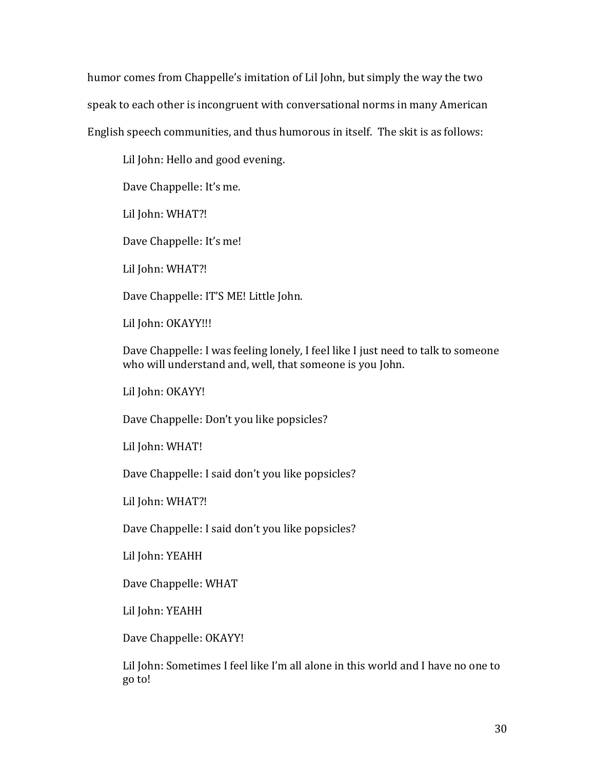humor comes from Chappelle's imitation of Lil John, but simply the way the two speak to each other is incongruent with conversational norms in many American English speech communities, and thus humorous in itself. The skit is as follows:

Lil John: Hello and good evening.

Dave Chappelle: It's me.

Lil John: WHAT?!

Dave Chappelle: It's me!

Lil John: WHAT?!

Dave Chappelle: IT'S ME! Little John.

Lil John: OKAYY!!!

Dave Chappelle: I was feeling lonely, I feel like I just need to talk to someone who will understand and, well, that someone is you John.

Lil John: OKAYY!

Dave Chappelle: Don't you like popsicles?

Lil John: WHAT!

Dave Chappelle: I said don't you like popsicles?

Lil John: WHAT?!

Dave Chappelle: I said don't you like popsicles?

Lil John: YEAHH

Dave Chappelle: WHAT

Lil John: YEAHH

Dave Chappelle: OKAYY!

Lil John: Sometimes I feel like I'm all alone in this world and I have no one to go to!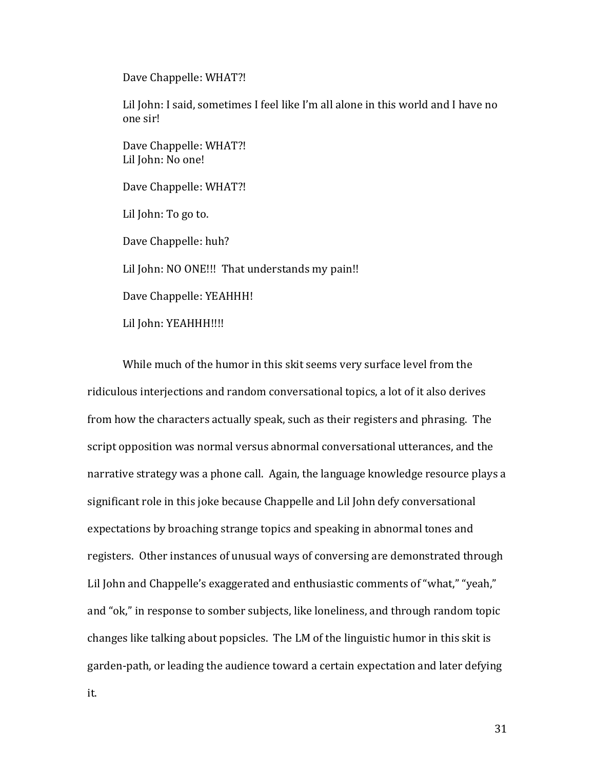Dave Chappelle: WHAT?!

Lil John: I said, sometimes I feel like I'm all alone in this world and I have no one sir!

Dave Chappelle: WHAT?! Lil John: No one!

Dave Chappelle: WHAT?!

Lil John: To go to.

Dave Chappelle: huh?

Lil John: NO ONE!!! That understands my pain!!

Dave Chappelle: YEAHHH!

Lil John: YEAHHH!!!!

While much of the humor in this skit seems very surface level from the ridiculous interjections and random conversational topics, a lot of it also derives from how the characters actually speak, such as their registers and phrasing. The script opposition was normal versus abnormal conversational utterances, and the narrative strategy was a phone call. Again, the language knowledge resource plays a significant role in this joke because Chappelle and Lil John defy conversational expectations by broaching strange topics and speaking in abnormal tones and registers. Other instances of unusual ways of conversing are demonstrated through Lil John and Chappelle's exaggerated and enthusiastic comments of "what," "yeah," and "ok," in response to somber subjects, like loneliness, and through random topic changes like talking about popsicles. The LM of the linguistic humor in this skit is garden-path, or leading the audience toward a certain expectation and later defying

it.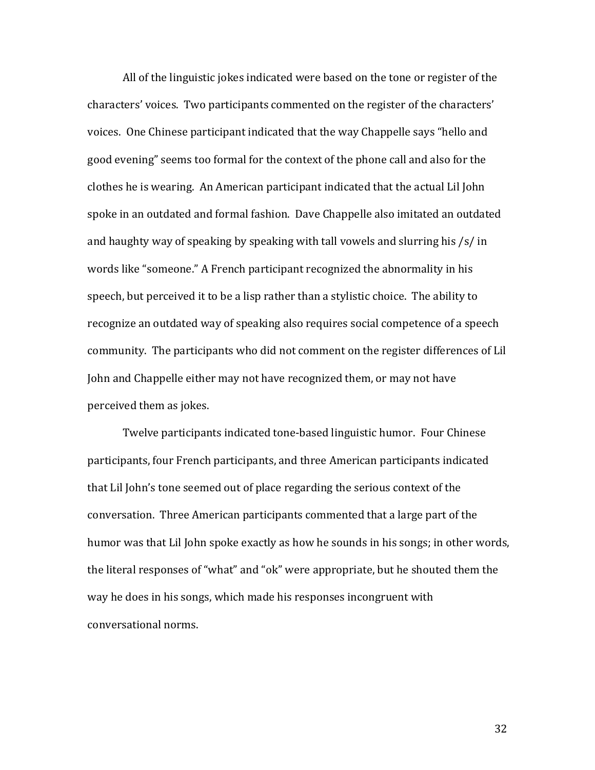All of the linguistic jokes indicated were based on the tone or register of the characters' voices. Two participants commented on the register of the characters' voices. One Chinese participant indicated that the way Chappelle says "hello and good evening" seems too formal for the context of the phone call and also for the clothes he is wearing. An American participant indicated that the actual Lil John spoke in an outdated and formal fashion. Dave Chappelle also imitated an outdated and haughty way of speaking by speaking with tall vowels and slurring his  $\frac{s}{\sin \theta}$ words like "someone." A French participant recognized the abnormality in his speech, but perceived it to be a lisp rather than a stylistic choice. The ability to recognize an outdated way of speaking also requires social competence of a speech community. The participants who did not comment on the register differences of Lil John and Chappelle either may not have recognized them, or may not have perceived them as jokes.

Twelve participants indicated tone-based linguistic humor. Four Chinese participants, four French participants, and three American participants indicated that Lil John's tone seemed out of place regarding the serious context of the conversation. Three American participants commented that a large part of the humor was that Lil John spoke exactly as how he sounds in his songs; in other words, the literal responses of "what" and "ok" were appropriate, but he shouted them the way he does in his songs, which made his responses incongruent with conversational norms.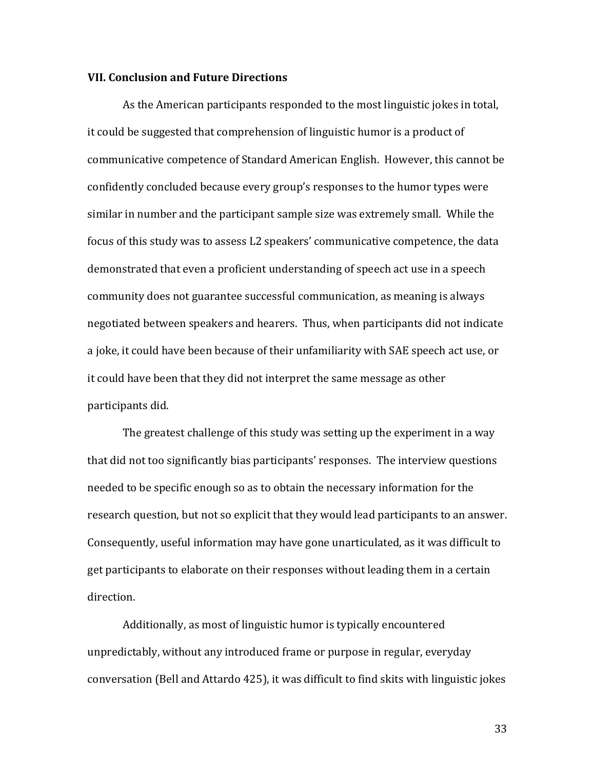#### **VII. Conclusion and Future Directions**

As the American participants responded to the most linguistic jokes in total, it could be suggested that comprehension of linguistic humor is a product of communicative competence of Standard American English. However, this cannot be confidently concluded because every group's responses to the humor types were similar in number and the participant sample size was extremely small. While the focus of this study was to assess L2 speakers' communicative competence, the data demonstrated that even a proficient understanding of speech act use in a speech community does not guarantee successful communication, as meaning is always negotiated between speakers and hearers. Thus, when participants did not indicate a joke, it could have been because of their unfamiliarity with SAE speech act use, or it could have been that they did not interpret the same message as other participants did.

The greatest challenge of this study was setting up the experiment in a way that did not too significantly bias participants' responses. The interview questions needed to be specific enough so as to obtain the necessary information for the research question, but not so explicit that they would lead participants to an answer. Consequently, useful information may have gone unarticulated, as it was difficult to get participants to elaborate on their responses without leading them in a certain direction. 

Additionally, as most of linguistic humor is typically encountered unpredictably, without any introduced frame or purpose in regular, everyday conversation (Bell and Attardo 425), it was difficult to find skits with linguistic jokes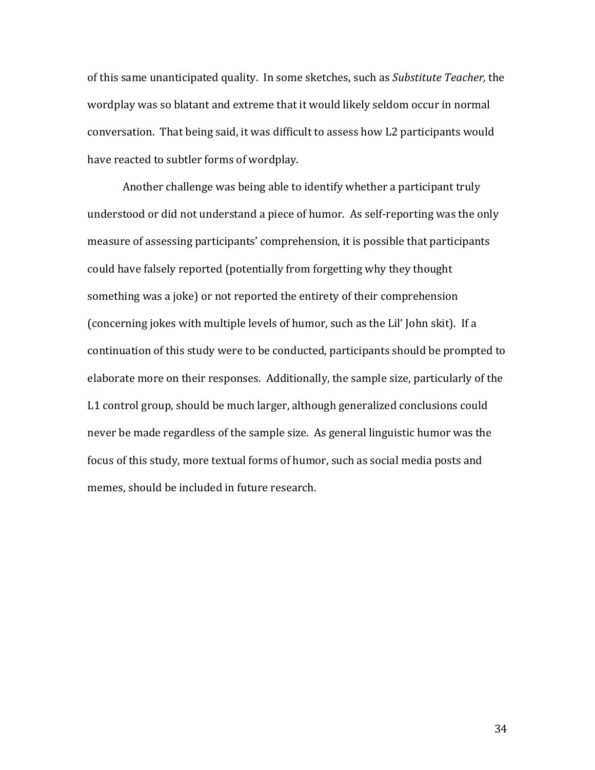of this same unanticipated quality. In some sketches, such as *Substitute Teacher*, the wordplay was so blatant and extreme that it would likely seldom occur in normal conversation. That being said, it was difficult to assess how L2 participants would have reacted to subtler forms of wordplay.

Another challenge was being able to identify whether a participant truly understood or did not understand a piece of humor. As self-reporting was the only measure of assessing participants' comprehension, it is possible that participants could have falsely reported (potentially from forgetting why they thought something was a joke) or not reported the entirety of their comprehension (concerning jokes with multiple levels of humor, such as the Lil' John skit). If a continuation of this study were to be conducted, participants should be prompted to elaborate more on their responses. Additionally, the sample size, particularly of the L1 control group, should be much larger, although generalized conclusions could never be made regardless of the sample size. As general linguistic humor was the focus of this study, more textual forms of humor, such as social media posts and memes, should be included in future research.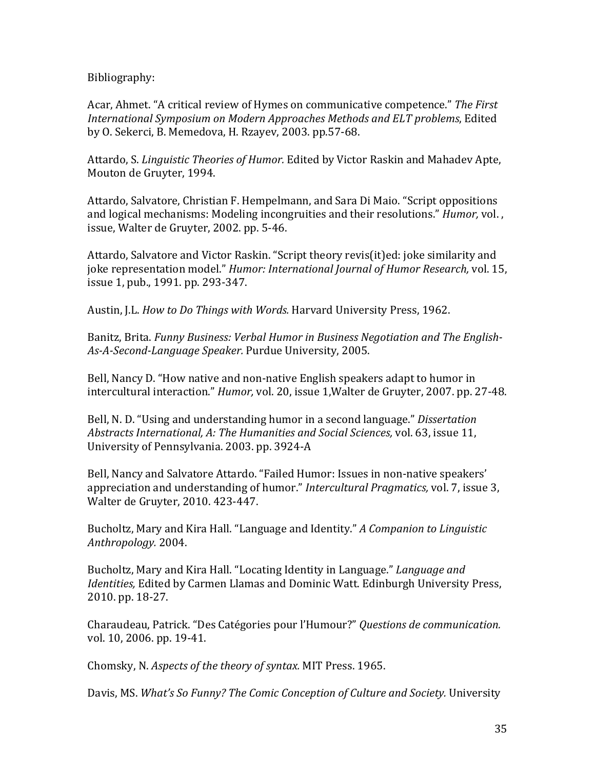Bibliography:

Acar, Ahmet. "A critical review of Hymes on communicative competence." The First *International Symposium on Modern Approaches Methods and ELT problems, Edited* by O. Sekerci, B. Memedova, H. Rzayev, 2003. pp.57-68.

Attardo, S. *Linguistic Theories of Humor.* Edited by Victor Raskin and Mahadev Apte, Mouton de Gruyter, 1994.

Attardo, Salvatore, Christian F. Hempelmann, and Sara Di Maio. "Script oppositions and logical mechanisms: Modeling incongruities and their resolutions." *Humor*, vol., issue, Walter de Gruyter, 2002. pp. 5-46.

Attardo, Salvatore and Victor Raskin. "Script theory revis(it)ed: joke similarity and joke representation model." *Humor: International Journal of Humor Research*, vol. 15, issue 1, pub., 1991. pp. 293-347.

Austin, J.L. *How to Do Things with Words.* Harvard University Press, 1962.

Banitz, Brita. Funny Business: Verbal Humor in Business Negotiation and The English-*As-A-Second-Language Speaker.* Purdue University, 2005.

Bell, Nancy D. "How native and non-native English speakers adapt to humor in intercultural interaction." *Humor*, vol. 20, issue 1, Walter de Gruyter, 2007. pp. 27-48.

Bell, N. D. "Using and understanding humor in a second language." *Dissertation Abstracts International, A: The Humanities and Social Sciences, vol.* 63, issue 11, University of Pennsylvania. 2003. pp. 3924-A

Bell, Nancy and Salvatore Attardo. "Failed Humor: Issues in non-native speakers' appreciation and understanding of humor." *Intercultural Pragmatics*, vol. 7, issue 3, Walter de Gruyter, 2010. 423-447.

Bucholtz, Mary and Kira Hall. "Language and Identity." *A Companion to Linguistic Anthropology.* 2004. 

Bucholtz, Mary and Kira Hall. "Locating Identity in Language." *Language and Identities,* Edited by Carmen Llamas and Dominic Watt. Edinburgh University Press, 2010. pp. 18-27.

Charaudeau, Patrick. "Des Catégories pour l'Humour?" *Questions de communication.* vol. 10, 2006. pp. 19-41.

Chomsky, N. *Aspects of the theory of syntax.* MIT Press. 1965.

Davis, MS. What's So Funny? The Comic Conception of Culture and Society. University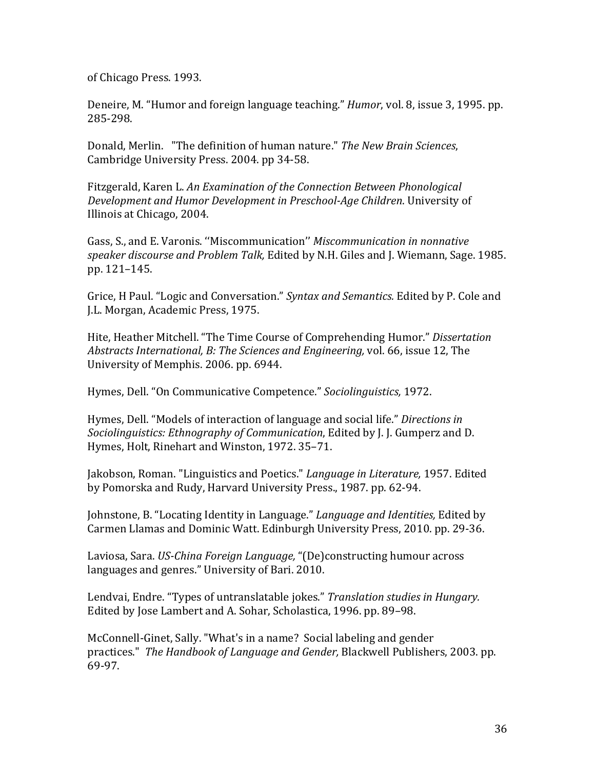of Chicago Press. 1993.

Deneire, M. "Humor and foreign language teaching." *Humor*, vol. 8, issue 3, 1995. pp. 285-298.

Donald, Merlin. "The definition of human nature." The New Brain Sciences, Cambridge University Press. 2004. pp 34-58.

Fitzgerald, Karen L. *An Examination of the Connection Between Phonological Development and Humor Development in Preschool-Age Children. University of* Illinois at Chicago, 2004.

Gass, S., and E. Varonis. "Miscommunication" *Miscommunication in nonnative speaker discourse and Problem Talk,* Edited by N.H. Giles and J. Wiemann, Sage. 1985. pp. 121–145.

Grice, H Paul. "Logic and Conversation." *Syntax and Semantics.* Edited by P. Cole and J.L. Morgan, Academic Press, 1975.

Hite, Heather Mitchell. "The Time Course of Comprehending Humor." Dissertation *Abstracts International, B: The Sciences and Engineering, vol.* 66, issue 12, The University of Memphis. 2006. pp. 6944.

Hymes, Dell. "On Communicative Competence." *Sociolinguistics,* 1972.

Hymes, Dell. "Models of interaction of language and social life." *Directions in Sociolinguistics: Ethnography of Communication*, Edited by J. J. Gumperz and D. Hymes, Holt, Rinehart and Winston, 1972. 35-71.

Jakobson, Roman. "Linguistics and Poetics." *Language in Literature*, 1957. Edited by Pomorska and Rudy, Harvard University Press., 1987, pp. 62-94.

Johnstone, B. "Locating Identity in Language." *Language and Identities*, Edited by Carmen Llamas and Dominic Watt. Edinburgh University Press, 2010. pp. 29-36.

Laviosa, Sara. *US-China Foreign Language*, "(De)constructing humour across languages and genres." University of Bari. 2010.

Lendvai, Endre. "Types of untranslatable jokes." *Translation studies in Hungary.* Edited by Jose Lambert and A. Sohar, Scholastica, 1996. pp. 89-98.

McConnell-Ginet, Sally. "What's in a name? Social labeling and gender practices." *The Handbook of Language and Gender, Blackwell Publishers, 2003. pp.* 69-97.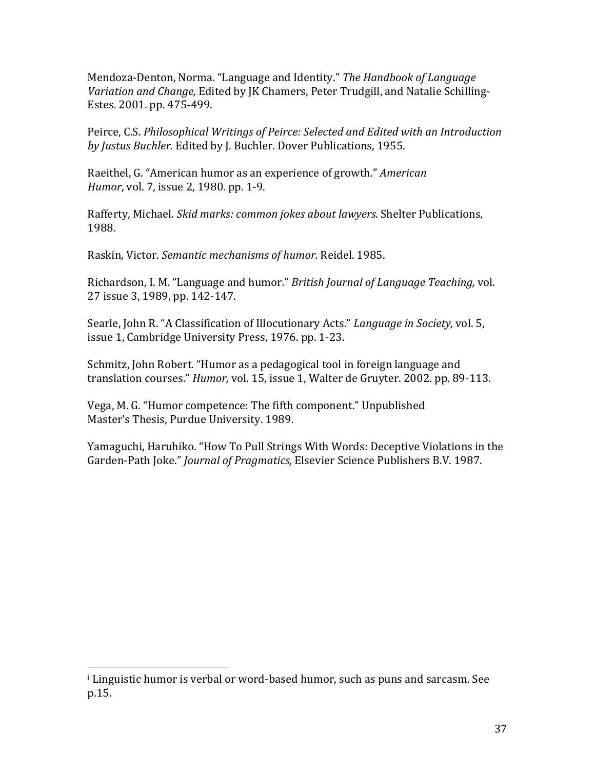Mendoza-Denton, Norma. "Language and Identity." The Handbook of Language *Variation and Change,* Edited by JK Chamers, Peter Trudgill, and Natalie Schilling-Estes. 2001. pp. 475-499.

Peirce, C.S. *Philosophical Writings of Peirce: Selected and Edited with an Introduction* by Justus Buchler. Edited by J. Buchler. Dover Publications, 1955.

Raeithel, G. "American humor as an experience of growth." *American Humor*, vol. 7, issue 2, 1980. pp. 1-9.

Rafferty, Michael. *Skid marks: common jokes about lawyers.* Shelter Publications, 1988.

Raskin, Victor. *Semantic mechanisms of humor.* Reidel. 1985.

Richardson, I. M. "Language and humor." *British Journal of Language Teaching*, vol. 27 issue 3, 1989, pp. 142-147.

Searle, John R. "A Classification of Illocutionary Acts." *Language in Society*, vol. 5, issue 1, Cambridge University Press, 1976. pp. 1-23.

Schmitz, John Robert. "Humor as a pedagogical tool in foreign language and translation courses." *Humor*, vol. 15, issue 1, Walter de Gruyter. 2002. pp. 89-113.

Vega, M. G. "Humor competence: The fifth component." Unpublished Master's Thesis, Purdue University. 1989.

Yamaguchi, Haruhiko. "How To Pull Strings With Words: Deceptive Violations in the Garden-Path Joke." *Journal of Pragmatics*, Elsevier Science Publishers B.V. 1987.

 $\frac{1}{1}$  Linguistic humor is verbal or word-based humor, such as puns and sarcasm. See p.15.